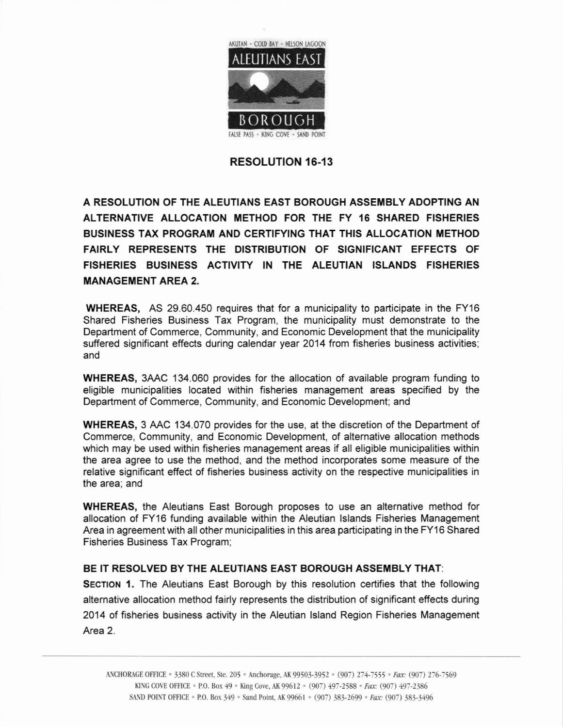

## RESOLUTION 16-13

A RESOLUTION OF THE ALEUTIANS EAST BOROUGH ASSEMBLY ADOPTING AN ALTERNATIVE ALLOCATION METHOD FOR THE FY 16 SHARED FISHERIES BUSINESS TAX PROGRAM AND CERTIFYING THAT THIS ALLOCATION METHOD FAIRLY REPRESENTS THE DISTRIBUTION OF SIGNIFICANT EFFECTS OF FISHERIES BUSINESS ACTIVITY IN THE ALEUTIAN ISLANDS FISHERIES MANAGEMENT AREA 2.

WHEREAS, AS 29.60.450 requires that for a municipality to participate in the FY16 Shared Fisheries Business Tax Program, the municipality must demonstrate to the Department of Commerce, Community, and Economic Development that the municipality suffered significant effects during calendar year 2014 from fisheries business activities; and

WHEREAS, 3AAC 134.060 provides for the allocation of available program funding to eligible municipalities located within fisheries management areas specified by the Department of Commerce, Community, and Economic Development; and

WHEREAS, 3 AAC 134.070 provides for the use, at the discretion of the Department of Commerce, Community, and Economic Development, of alternative allocation methods which may be used within fisheries management areas if all eligible municipalities within the area agree to use the method, and the method incorporates some measure of the relative significant effect of fisheries business activity on the respective municipalities in the area; and

WHEREAS, the Aleutians East Borough proposes to use an alternative method for allocation of FY16 funding available within the Aleutian lslands Fisheries Management Area in agreement with all other municipalities in this area participating in the FY16 Shared Fisheries Business Tax Program;

## BE IT RESOLVED BY THE ALEUTIANS EAST BOROUGH ASSEMBLY THAT:

SECTION 1. The Aleutians East Borough by this resolution certifies that the following alternative allocation method fairly represents the distribution of significant effects during 2014 of fisheries business activity in the Aleutian lsland Region Fisheries Management Area 2.